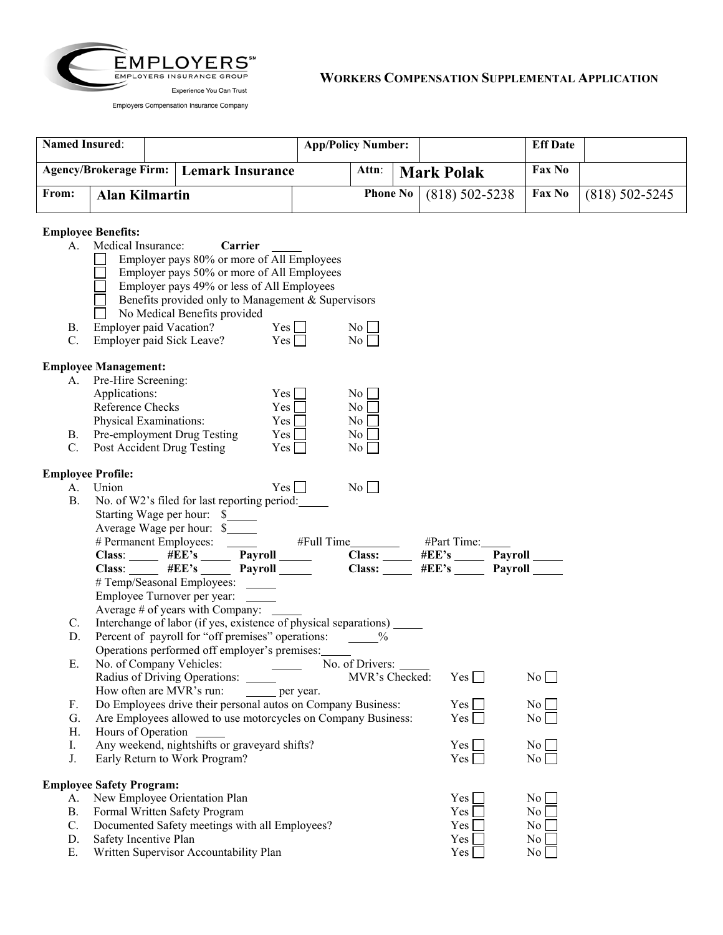

|       | <b>Named Insured:</b> |  | <b>App/Policy Number:</b>                 |                                    |       | <b>Eff Date</b> |                  |               |  |
|-------|-----------------------|--|-------------------------------------------|------------------------------------|-------|-----------------|------------------|---------------|--|
|       |                       |  | Agency/Brokerage Firm:   Lemark Insurance |                                    | Attn: | Mark Polak      |                  | <b>Fax No</b> |  |
| From: | Alan Kilmartin        |  |                                           | <b>Phone No</b> $(818) 502 - 5238$ |       | Fax No          | $(818)$ 502-5245 |               |  |

## **Employee Benefits:**

| А.                       | Medical Insurance: Carrier<br>Employer pays 80% or more of All Employees<br>Employer pays 50% or more of All Employees<br>Employer pays 49% or less of All Employees<br>Benefits provided only to Management & Supervisors<br>No Medical Benefits provided |            |                        |                 |                  |
|--------------------------|------------------------------------------------------------------------------------------------------------------------------------------------------------------------------------------------------------------------------------------------------------|------------|------------------------|-----------------|------------------|
| B.<br>$C_{\cdot}$        | Employer paid Vacation? $Yes \Box$<br>Employer paid Sick Leave? $Yes$                                                                                                                                                                                      |            | $\overline{N_0}$<br>No |                 |                  |
|                          | <b>Employee Management:</b>                                                                                                                                                                                                                                |            |                        |                 |                  |
|                          | A. Pre-Hire Screening:                                                                                                                                                                                                                                     |            |                        |                 |                  |
|                          | Applications:                                                                                                                                                                                                                                              | $Yes \Box$ | $\rm{No}$              |                 |                  |
|                          | Reference Checks                                                                                                                                                                                                                                           | $Yes \Box$ | $\overline{N_0}$       |                 |                  |
|                          | Physical Examinations:                                                                                                                                                                                                                                     | $Yes \Box$ | $No$ $\Box$            |                 |                  |
|                          | B. Pre-employment Drug Testing $Y \simeq$                                                                                                                                                                                                                  |            | No                     |                 |                  |
|                          | C. Post Accident Drug Testing                                                                                                                                                                                                                              | $Yes \Box$ | $\overline{N_0}$       |                 |                  |
| <b>Employee Profile:</b> |                                                                                                                                                                                                                                                            |            |                        |                 |                  |
| A.                       | Union                                                                                                                                                                                                                                                      | $Yes \Box$ | No                     |                 |                  |
| <b>B.</b>                | No. of W2's filed for last reporting period:                                                                                                                                                                                                               |            |                        |                 |                  |
|                          | Starting Wage per hour: \$                                                                                                                                                                                                                                 |            |                        |                 |                  |
|                          | Average Wage per hour: \$                                                                                                                                                                                                                                  |            |                        |                 |                  |
|                          | Average Wage per hour: \$<br># Permanent Employees: #EE's # Full Time # Payroll # Permanent Employees: # # EE's # EE's # EE's Payroll # EE's Payroll = Rayroll = Rayroll = Rayroll = Rayroll = Rayroll = Rayroll = Rayroll = Rayr                          |            |                        |                 |                  |
|                          |                                                                                                                                                                                                                                                            |            |                        |                 |                  |
|                          |                                                                                                                                                                                                                                                            |            |                        |                 |                  |
|                          |                                                                                                                                                                                                                                                            |            |                        |                 |                  |
|                          | # Temp/Seasonal Employees: ______                                                                                                                                                                                                                          |            |                        |                 |                  |
|                          | Employee Turnover per year:                                                                                                                                                                                                                                |            |                        |                 |                  |
|                          | Average $#$ of years with Company: ______                                                                                                                                                                                                                  |            |                        |                 |                  |
| $C_{\cdot}$              | Interchange of labor (if yes, existence of physical separations) _______                                                                                                                                                                                   |            |                        |                 |                  |
| D.                       | Percent of payroll for "off premises" operations: ______%                                                                                                                                                                                                  |            |                        |                 |                  |
| Е.                       | Operations performed off employer's premises:                                                                                                                                                                                                              |            |                        |                 |                  |
|                          | No. of Company Vehicles: No. of Drivers: 1986.                                                                                                                                                                                                             |            |                        | Yes             | No               |
|                          |                                                                                                                                                                                                                                                            |            |                        |                 |                  |
| F.                       | How often are MVR's run: _______ per year.<br>Do Employees drive their personal autos on Company Business:                                                                                                                                                 |            |                        | $Yes \mid \mid$ | $\overline{N_0}$ |
| G.                       | Are Employees allowed to use motorcycles on Company Business:                                                                                                                                                                                              |            |                        | Yes             | $\overline{N_0}$ |
| Н.                       | Hours of Operation                                                                                                                                                                                                                                         |            |                        |                 |                  |
| Ι.                       | Any weekend, nightshifts or graveyard shifts?                                                                                                                                                                                                              |            |                        | Yes             | $\overline{N_0}$ |
| J.                       | Early Return to Work Program?                                                                                                                                                                                                                              |            |                        | Yes             | $\overline{N_0}$ |
|                          |                                                                                                                                                                                                                                                            |            |                        |                 |                  |
| A.                       | <b>Employee Safety Program:</b><br>New Employee Orientation Plan                                                                                                                                                                                           |            |                        | Yes             | N <sub>0</sub>   |
| <b>B.</b>                | Formal Written Safety Program                                                                                                                                                                                                                              |            |                        | Yes             | N <sub>0</sub>   |
| C.                       | Documented Safety meetings with all Employees?                                                                                                                                                                                                             |            |                        | Yes             | N <sub>0</sub>   |
| D.<br>Ε.                 | Safety Incentive Plan<br>Written Supervisor Accountability Plan                                                                                                                                                                                            |            |                        | Yes<br>Yes      | No<br>No         |